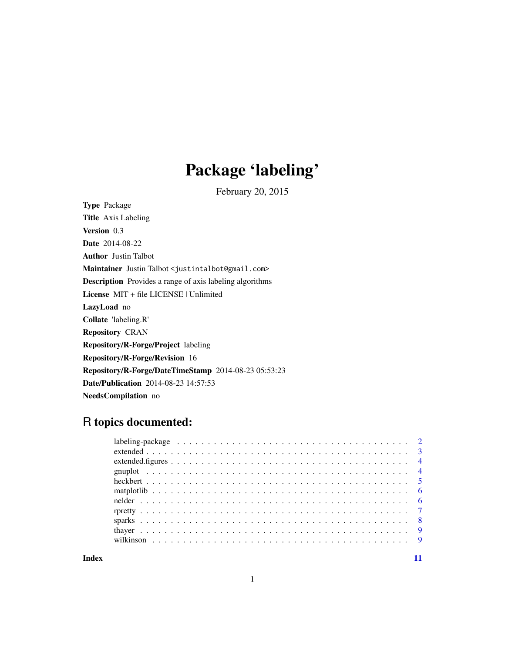# Package 'labeling'

February 20, 2015

<span id="page-0-0"></span>Type Package Title Axis Labeling Version 0.3 Date 2014-08-22 Author Justin Talbot Maintainer Justin Talbot <justintalbot@gmail.com> Description Provides a range of axis labeling algorithms License MIT + file LICENSE | Unlimited LazyLoad no Collate 'labeling.R' Repository CRAN Repository/R-Forge/Project labeling Repository/R-Forge/Revision 16 Repository/R-Forge/DateTimeStamp 2014-08-23 05:53:23 Date/Publication 2014-08-23 14:57:53 NeedsCompilation no

# R topics documented:

**Index** [11](#page-10-0)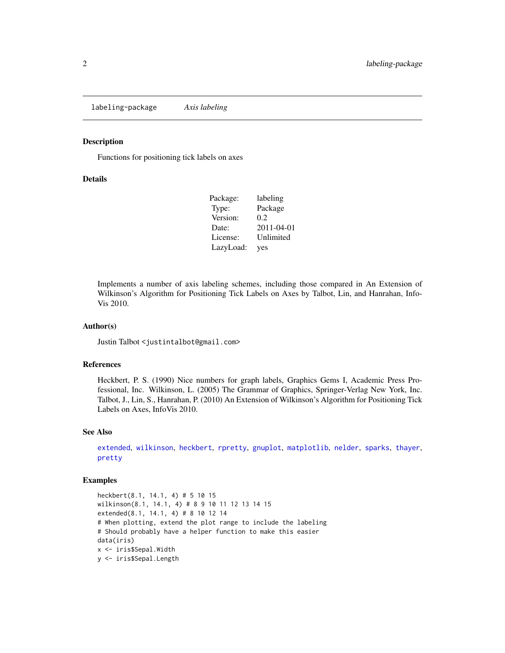<span id="page-1-0"></span>labeling-package *Axis labeling*

#### Description

Functions for positioning tick labels on axes

#### Details

| Package:  | labeling   |
|-----------|------------|
| Type:     | Package    |
| Version:  | 0.2        |
| Date:     | 2011-04-01 |
| License:  | Unlimited  |
| LazyLoad: | yes        |

Implements a number of axis labeling schemes, including those compared in An Extension of Wilkinson's Algorithm for Positioning Tick Labels on Axes by Talbot, Lin, and Hanrahan, Info-Vis 2010.

#### Author(s)

Justin Talbot <justintalbot@gmail.com>

#### References

Heckbert, P. S. (1990) Nice numbers for graph labels, Graphics Gems I, Academic Press Professional, Inc. Wilkinson, L. (2005) The Grammar of Graphics, Springer-Verlag New York, Inc. Talbot, J., Lin, S., Hanrahan, P. (2010) An Extension of Wilkinson's Algorithm for Positioning Tick Labels on Axes, InfoVis 2010.

# See Also

[extended](#page-2-1), [wilkinson](#page-8-1), [heckbert](#page-4-1), [rpretty](#page-6-1), [gnuplot](#page-3-1), [matplotlib](#page-5-1), [nelder](#page-5-2), [sparks](#page-7-1), [thayer](#page-8-2), [pretty](#page-0-0)

# Examples

heckbert(8.1, 14.1, 4) # 5 10 15 wilkinson(8.1, 14.1, 4) # 8 9 10 11 12 13 14 15 extended(8.1, 14.1, 4) # 8 10 12 14 # When plotting, extend the plot range to include the labeling # Should probably have a helper function to make this easier data(iris) x <- iris\$Sepal.Width y <- iris\$Sepal.Length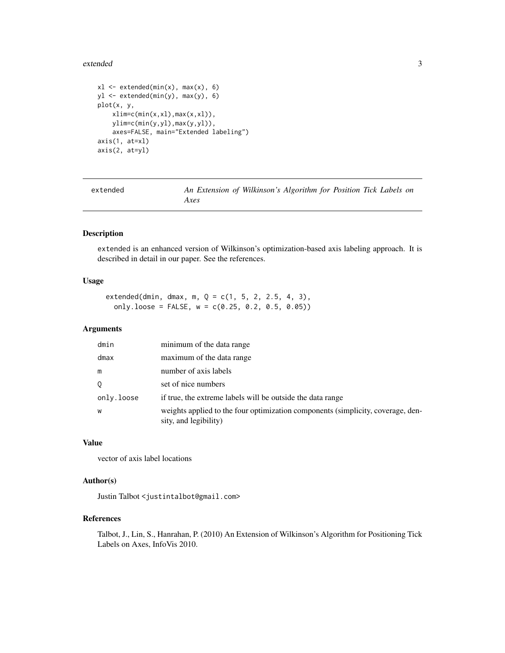#### <span id="page-2-0"></span>extended 3

```
x1 \leq - extended(min(x), max(x), 6)
yl <- extended(min(y), max(y), 6)
plot(x, y,
    xlim=c(min(x,xl),max(x,xl)),
    ylim=c(min(y,yl),max(y,yl)),
    axes=FALSE, main="Extended labeling")
axis(1, at=xl)
axis(2, at=yl)
```
<span id="page-2-1"></span>

An Extension of Wilkinson's Algorithm for Position Tick Labels on *Axes*

# Description

extended is an enhanced version of Wilkinson's optimization-based axis labeling approach. It is described in detail in our paper. See the references.

# Usage

```
extended(dmin, dmax, m, Q = c(1, 5, 2, 2.5, 4, 3),
 only.loose = FALSE, w = c(0.25, 0.2, 0.5, 0.05)
```
#### Arguments

| dmin       | minimum of the data range                                                                                |
|------------|----------------------------------------------------------------------------------------------------------|
| dmax       | maximum of the data range                                                                                |
| m          | number of axis labels                                                                                    |
| 0          | set of nice numbers                                                                                      |
| only.loose | if true, the extreme labels will be outside the data range                                               |
| W          | weights applied to the four optimization components (simplicity, coverage, den-<br>sity, and legibility) |

#### Value

vector of axis label locations

#### Author(s)

Justin Talbot <justintalbot@gmail.com>

#### References

Talbot, J., Lin, S., Hanrahan, P. (2010) An Extension of Wilkinson's Algorithm for Positioning Tick Labels on Axes, InfoVis 2010.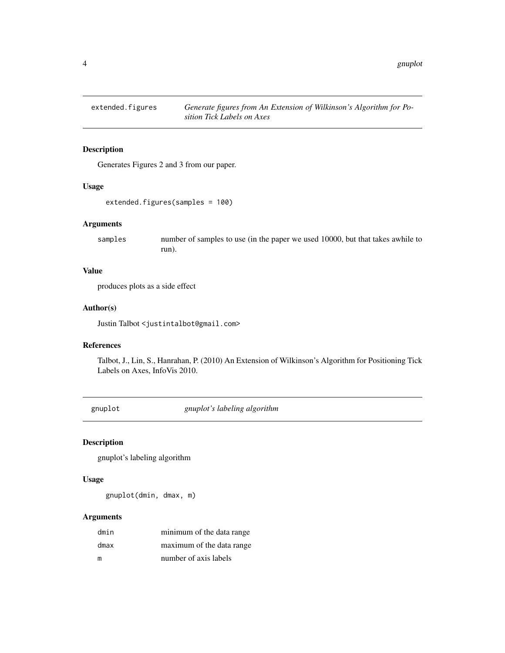<span id="page-3-0"></span>

# Description

Generates Figures 2 and 3 from our paper.

# Usage

```
extended.figures(samples = 100)
```
# Arguments

samples number of samples to use (in the paper we used 10000, but that takes awhile to run).

## Value

produces plots as a side effect

# Author(s)

Justin Talbot <justintalbot@gmail.com>

# References

Talbot, J., Lin, S., Hanrahan, P. (2010) An Extension of Wilkinson's Algorithm for Positioning Tick Labels on Axes, InfoVis 2010.

<span id="page-3-1"></span>gnuplot *gnuplot's labeling algorithm*

# Description

gnuplot's labeling algorithm

#### Usage

gnuplot(dmin, dmax, m)

# Arguments

| dmin | minimum of the data range |
|------|---------------------------|
| dmax | maximum of the data range |
| m    | number of axis labels     |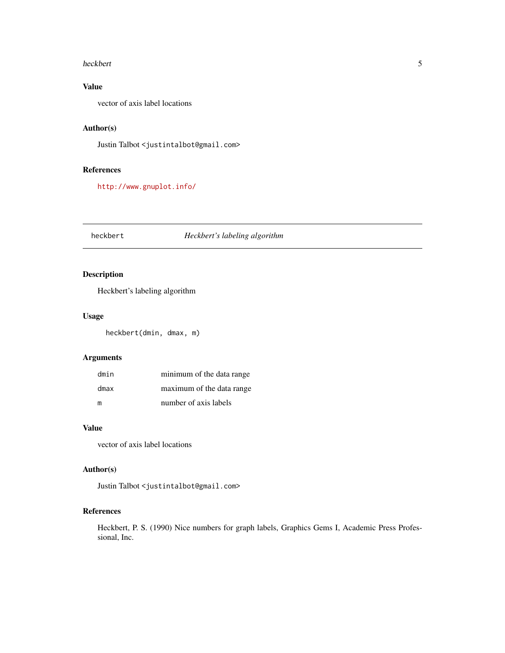#### <span id="page-4-0"></span>heckbert 5

# Value

vector of axis label locations

# Author(s)

Justin Talbot <justintalbot@gmail.com>

# References

<http://www.gnuplot.info/>

# <span id="page-4-1"></span>heckbert *Heckbert's labeling algorithm*

# Description

Heckbert's labeling algorithm

# Usage

heckbert(dmin, dmax, m)

# Arguments

| dmin | minimum of the data range |
|------|---------------------------|
| dmax | maximum of the data range |
| m    | number of axis labels     |

# Value

vector of axis label locations

#### Author(s)

Justin Talbot <justintalbot@gmail.com>

# References

Heckbert, P. S. (1990) Nice numbers for graph labels, Graphics Gems I, Academic Press Professional, Inc.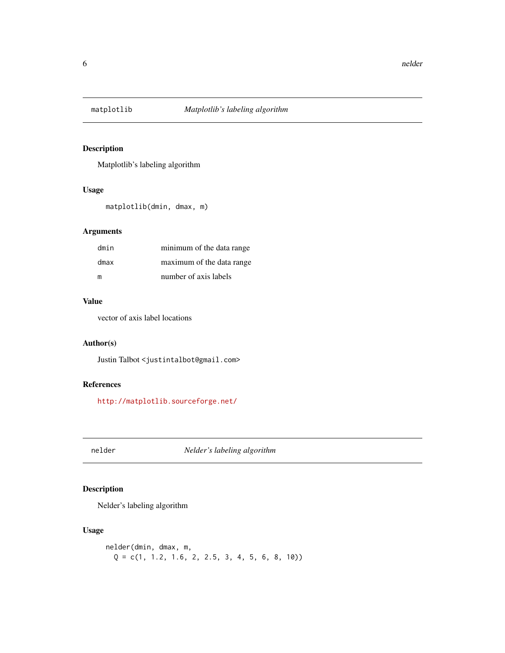<span id="page-5-1"></span><span id="page-5-0"></span>

# Description

Matplotlib's labeling algorithm

# Usage

matplotlib(dmin, dmax, m)

# Arguments

| dmin | minimum of the data range |
|------|---------------------------|
| dmax | maximum of the data range |
| m    | number of axis labels     |

# Value

vector of axis label locations

# Author(s)

Justin Talbot <justintalbot@gmail.com>

#### References

<http://matplotlib.sourceforge.net/>

<span id="page-5-2"></span>nelder *Nelder's labeling algorithm*

# Description

Nelder's labeling algorithm

# Usage

```
nelder(dmin, dmax, m,
 Q = c(1, 1.2, 1.6, 2, 2.5, 3, 4, 5, 6, 8, 10)
```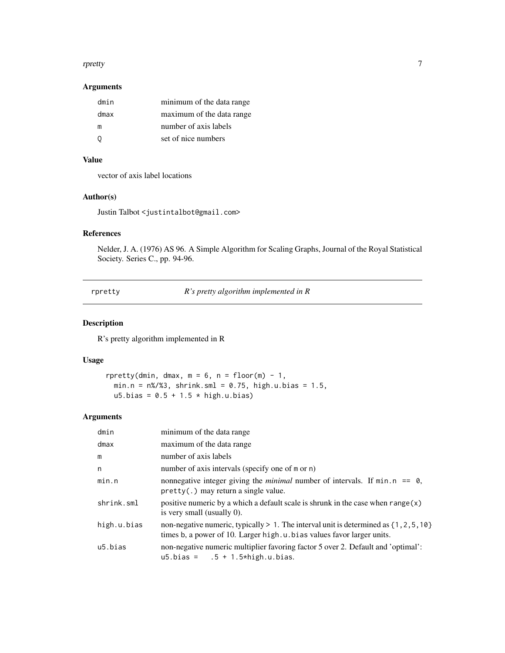#### <span id="page-6-0"></span>rpretty and the contract of the contract of the contract of the contract of the contract of the contract of the contract of the contract of the contract of the contract of the contract of the contract of the contract of th

# Arguments

| dmin | minimum of the data range |
|------|---------------------------|
| dmax | maximum of the data range |
| m    | number of axis labels     |
|      | set of nice numbers       |

# Value

vector of axis label locations

#### Author(s)

Justin Talbot <justintalbot@gmail.com>

# References

Nelder, J. A. (1976) AS 96. A Simple Algorithm for Scaling Graphs, Journal of the Royal Statistical Society. Series C., pp. 94-96.

<span id="page-6-1"></span>rpretty *R's pretty algorithm implemented in R*

# Description

R's pretty algorithm implemented in R

#### Usage

rpretty(dmin, dmax,  $m = 6$ ,  $n =$  floor(m) - 1,  $min.n = n\%/23$ , shrink.sml = 0.75, high.u.bias = 1.5,  $u5.bias = 0.5 + 1.5 * high.u.bias)$ 

# Arguments

| dmin        | minimum of the data range                                                                                                                                             |
|-------------|-----------------------------------------------------------------------------------------------------------------------------------------------------------------------|
| dmax        | maximum of the data range                                                                                                                                             |
| m           | number of axis labels                                                                                                                                                 |
| n           | number of axis intervals (specify one of m or n)                                                                                                                      |
| min.n       | nonnegative integer giving the <i>minimal</i> number of intervals. If $min.n == 0$ ,<br>$pertty(.)$ may return a single value.                                        |
| shrink.sml  | positive numeric by a which a default scale is shrunk in the case when $range(x)$<br>is very small (usually 0).                                                       |
| high.u.bias | non-negative numeric, typically $> 1$ . The interval unit is determined as $\{1, 2, 5, 10\}$<br>times b, a power of 10. Larger high.u.bias values favor larger units. |
| u5.bias     | non-negative numeric multiplier favoring factor 5 over 2. Default and 'optimal':<br>$u5.bias = .5 + 1.5 * high.u.bias.$                                               |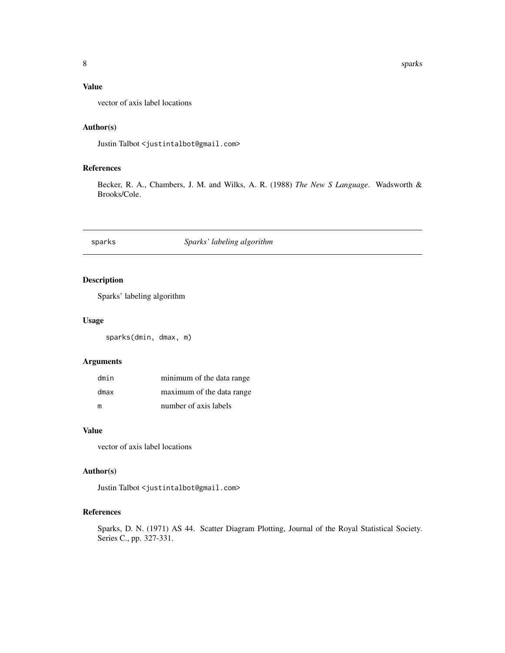# <span id="page-7-0"></span>Value

vector of axis label locations

# Author(s)

Justin Talbot <justintalbot@gmail.com>

# References

Becker, R. A., Chambers, J. M. and Wilks, A. R. (1988) *The New S Language*. Wadsworth & Brooks/Cole.

<span id="page-7-1"></span>sparks *Sparks' labeling algorithm*

# Description

Sparks' labeling algorithm

# Usage

sparks(dmin, dmax, m)

# Arguments

| dmin | minimum of the data range |
|------|---------------------------|
| dmax | maximum of the data range |
| m    | number of axis labels     |

#### Value

vector of axis label locations

# Author(s)

Justin Talbot <justintalbot@gmail.com>

# References

Sparks, D. N. (1971) AS 44. Scatter Diagram Plotting, Journal of the Royal Statistical Society. Series C., pp. 327-331.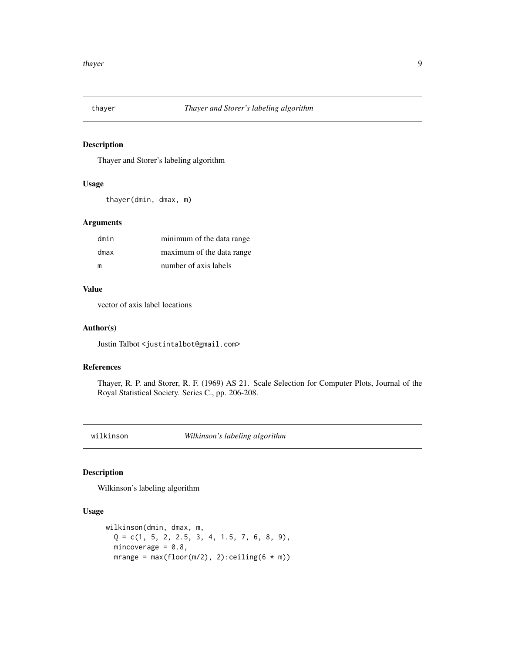<span id="page-8-2"></span><span id="page-8-0"></span>

# Description

Thayer and Storer's labeling algorithm

### Usage

thayer(dmin, dmax, m)

# Arguments

| dmin | minimum of the data range |
|------|---------------------------|
| dmax | maximum of the data range |
| m    | number of axis labels     |

#### Value

vector of axis label locations

#### Author(s)

Justin Talbot <justintalbot@gmail.com>

# References

Thayer, R. P. and Storer, R. F. (1969) AS 21. Scale Selection for Computer Plots, Journal of the Royal Statistical Society. Series C., pp. 206-208.

<span id="page-8-1"></span>wilkinson *Wilkinson's labeling algorithm*

#### Description

Wilkinson's labeling algorithm

#### Usage

```
wilkinson(dmin, dmax, m,
 Q = c(1, 5, 2, 2.5, 3, 4, 1.5, 7, 6, 8, 9),mincoverage = 0.8,
 mrange = max(floor(m/2), 2):ceiling(6 * m))
```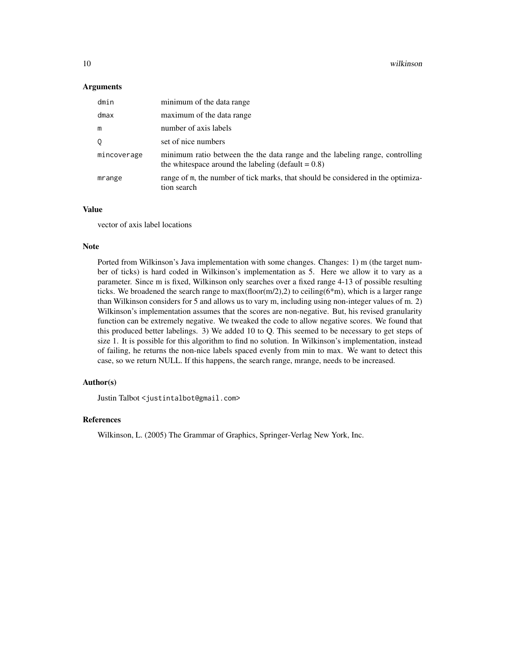10 wilkinson

#### Arguments

| dmin        | minimum of the data range                                                                                                             |
|-------------|---------------------------------------------------------------------------------------------------------------------------------------|
| dmax        | maximum of the data range                                                                                                             |
| m           | number of axis labels                                                                                                                 |
| Q           | set of nice numbers                                                                                                                   |
| mincoverage | minimum ratio between the the data range and the labeling range, controlling<br>the whitespace around the labeling (default $= 0.8$ ) |
| mrange      | range of m, the number of tick marks, that should be considered in the optimiza-<br>tion search                                       |

# Value

vector of axis label locations

#### Note

Ported from Wilkinson's Java implementation with some changes. Changes: 1) m (the target number of ticks) is hard coded in Wilkinson's implementation as 5. Here we allow it to vary as a parameter. Since m is fixed, Wilkinson only searches over a fixed range 4-13 of possible resulting ticks. We broadened the search range to  $max(floor(m/2), 2)$  to ceiling(6<sup>\*</sup>m), which is a larger range than Wilkinson considers for 5 and allows us to vary m, including using non-integer values of m. 2) Wilkinson's implementation assumes that the scores are non-negative. But, his revised granularity function can be extremely negative. We tweaked the code to allow negative scores. We found that this produced better labelings. 3) We added 10 to Q. This seemed to be necessary to get steps of size 1. It is possible for this algorithm to find no solution. In Wilkinson's implementation, instead of failing, he returns the non-nice labels spaced evenly from min to max. We want to detect this case, so we return NULL. If this happens, the search range, mrange, needs to be increased.

#### Author(s)

Justin Talbot <justintalbot@gmail.com>

#### References

Wilkinson, L. (2005) The Grammar of Graphics, Springer-Verlag New York, Inc.